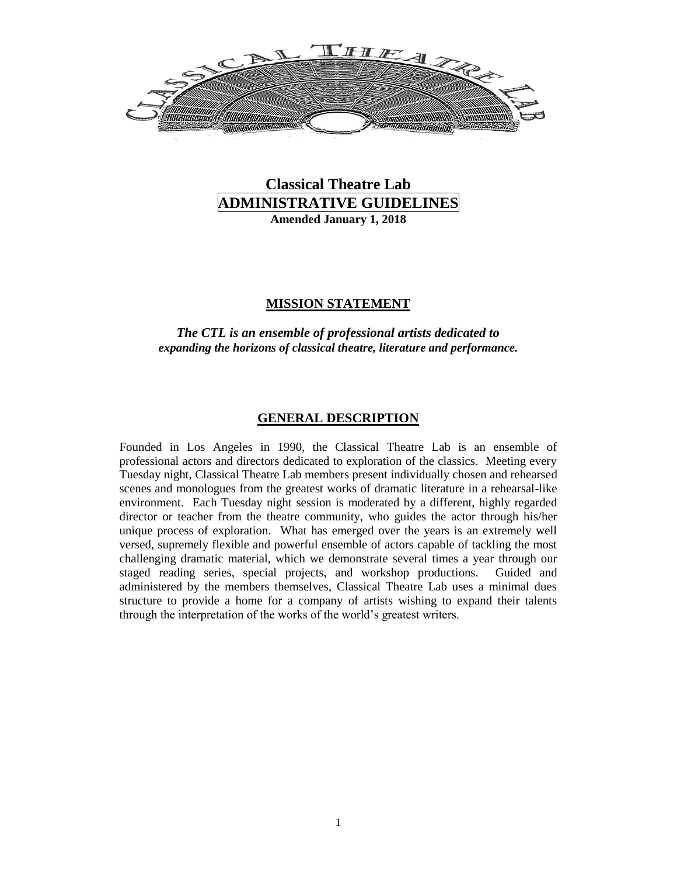

# **Classical Theatre Lab ADMINISTRATIVE GUIDELINES Amended January 1, 2018**

#### **MISSION STATEMENT**

#### *The CTL is an ensemble of professional artists dedicated to expanding the horizons of classical theatre, literature and performance.*

#### **GENERAL DESCRIPTION**

Founded in Los Angeles in 1990, the Classical Theatre Lab is an ensemble of professional actors and directors dedicated to exploration of the classics. Meeting every Tuesday night, Classical Theatre Lab members present individually chosen and rehearsed scenes and monologues from the greatest works of dramatic literature in a rehearsal-like environment. Each Tuesday night session is moderated by a different, highly regarded director or teacher from the theatre community, who guides the actor through his/her unique process of exploration. What has emerged over the years is an extremely well versed, supremely flexible and powerful ensemble of actors capable of tackling the most challenging dramatic material, which we demonstrate several times a year through our staged reading series, special projects, and workshop productions. Guided and administered by the members themselves, Classical Theatre Lab uses a minimal dues structure to provide a home for a company of artists wishing to expand their talents through the interpretation of the works of the world's greatest writers.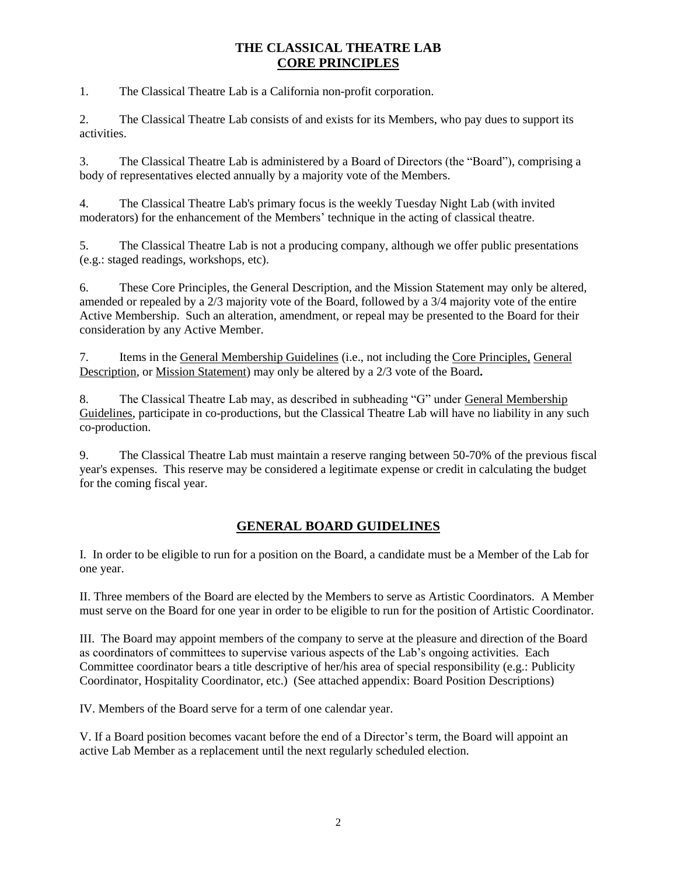# **THE CLASSICAL THEATRE LAB CORE PRINCIPLES**

1. The Classical Theatre Lab is a California non-profit corporation.

2. The Classical Theatre Lab consists of and exists for its Members, who pay dues to support its activities.

3. The Classical Theatre Lab is administered by a Board of Directors (the "Board"), comprising a body of representatives elected annually by a majority vote of the Members.

4. The Classical Theatre Lab's primary focus is the weekly Tuesday Night Lab (with invited moderators) for the enhancement of the Members' technique in the acting of classical theatre.

5. The Classical Theatre Lab is not a producing company, although we offer public presentations (e.g.: staged readings, workshops, etc).

6. These Core Principles, the General Description, and the Mission Statement may only be altered, amended or repealed by a 2/3 majority vote of the Board, followed by a 3/4 majority vote of the entire Active Membership. Such an alteration, amendment, or repeal may be presented to the Board for their consideration by any Active Member.

7. Items in the General Membership Guidelines (i.e., not including the Core Principles, General Description, or Mission Statement) may only be altered by a 2/3 vote of the Board**.**

8. The Classical Theatre Lab may, as described in subheading "G" under General Membership Guidelines, participate in co-productions, but the Classical Theatre Lab will have no liability in any such co-production.

9. The Classical Theatre Lab must maintain a reserve ranging between 50-70% of the previous fiscal year's expenses. This reserve may be considered a legitimate expense or credit in calculating the budget for the coming fiscal year.

# **GENERAL BOARD GUIDELINES**

I. In order to be eligible to run for a position on the Board, a candidate must be a Member of the Lab for one year.

II. Three members of the Board are elected by the Members to serve as Artistic Coordinators. A Member must serve on the Board for one year in order to be eligible to run for the position of Artistic Coordinator.

III. The Board may appoint members of the company to serve at the pleasure and direction of the Board as coordinators of committees to supervise various aspects of the Lab's ongoing activities. Each Committee coordinator bears a title descriptive of her/his area of special responsibility (e.g.: Publicity Coordinator, Hospitality Coordinator, etc.) (See attached appendix: Board Position Descriptions)

IV. Members of the Board serve for a term of one calendar year.

V. If a Board position becomes vacant before the end of a Director's term, the Board will appoint an active Lab Member as a replacement until the next regularly scheduled election.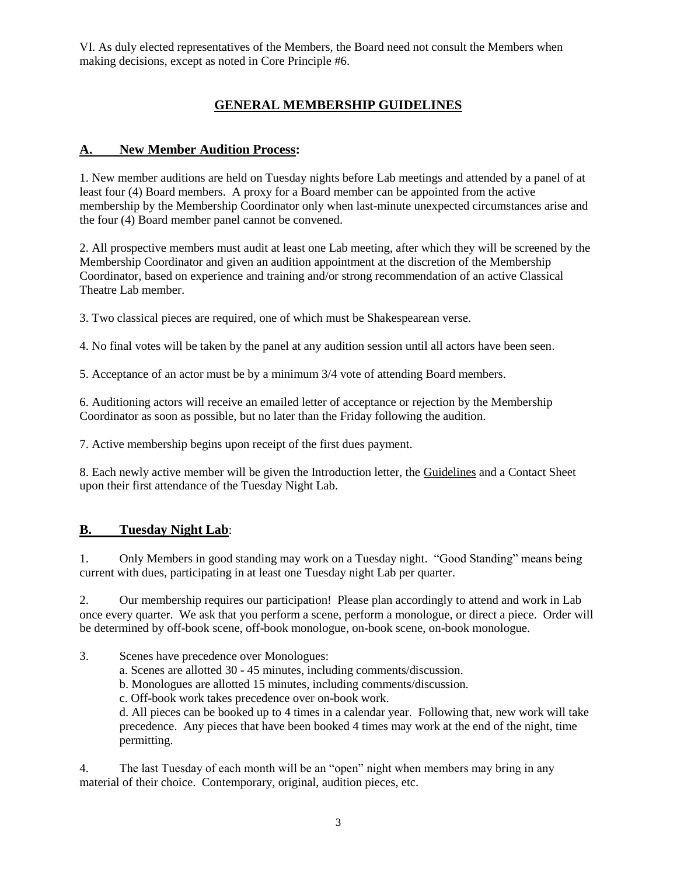VI. As duly elected representatives of the Members, the Board need not consult the Members when making decisions, except as noted in Core Principle #6.

# **GENERAL MEMBERSHIP GUIDELINES**

# **A. New Member Audition Process:**

1. New member auditions are held on Tuesday nights before Lab meetings and attended by a panel of at least four (4) Board members. A proxy for a Board member can be appointed from the active membership by the Membership Coordinator only when last-minute unexpected circumstances arise and the four (4) Board member panel cannot be convened.

2. All prospective members must audit at least one Lab meeting, after which they will be screened by the Membership Coordinator and given an audition appointment at the discretion of the Membership Coordinator, based on experience and training and/or strong recommendation of an active Classical Theatre Lab member.

3. Two classical pieces are required, one of which must be Shakespearean verse.

4. No final votes will be taken by the panel at any audition session until all actors have been seen.

5. Acceptance of an actor must be by a minimum 3/4 vote of attending Board members.

6. Auditioning actors will receive an emailed letter of acceptance or rejection by the Membership Coordinator as soon as possible, but no later than the Friday following the audition.

7. Active membership begins upon receipt of the first dues payment.

8. Each newly active member will be given the Introduction letter, the Guidelines and a Contact Sheet upon their first attendance of the Tuesday Night Lab.

## **B. Tuesday Night Lab**:

1. Only Members in good standing may work on a Tuesday night. "Good Standing" means being current with dues, participating in at least one Tuesday night Lab per quarter.

2. Our membership requires our participation! Please plan accordingly to attend and work in Lab once every quarter. We ask that you perform a scene, perform a monologue, or direct a piece. Order will be determined by off-book scene, off-book monologue, on-book scene, on-book monologue.

3. Scenes have precedence over Monologues:

a. Scenes are allotted 30 - 45 minutes, including comments/discussion.

b. Monologues are allotted 15 minutes, including comments/discussion.

c. Off-book work takes precedence over on-book work.

d. All pieces can be booked up to 4 times in a calendar year. Following that, new work will take precedence. Any pieces that have been booked 4 times may work at the end of the night, time permitting.

4. The last Tuesday of each month will be an "open" night when members may bring in any material of their choice. Contemporary, original, audition pieces, etc.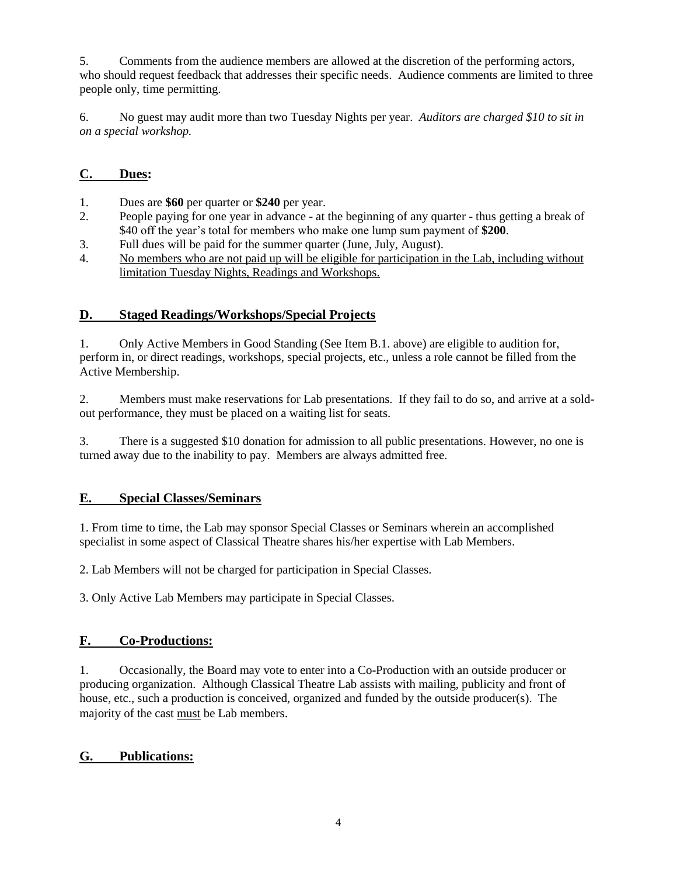5. Comments from the audience members are allowed at the discretion of the performing actors, who should request feedback that addresses their specific needs. Audience comments are limited to three people only, time permitting.

6. No guest may audit more than two Tuesday Nights per year. *Auditors are charged \$10 to sit in on a special workshop.*

## **C. Dues:**

- 1. Dues are **\$60** per quarter or **\$240** per year.
- 2. People paying for one year in advance at the beginning of any quarter thus getting a break of \$40 off the year's total for members who make one lump sum payment of **\$200**.
- 3. Full dues will be paid for the summer quarter (June, July, August).
- 4. No members who are not paid up will be eligible for participation in the Lab, including without limitation Tuesday Nights, Readings and Workshops.

## **D. Staged Readings/Workshops/Special Projects**

1. Only Active Members in Good Standing (See Item B.1. above) are eligible to audition for, perform in, or direct readings, workshops, special projects, etc., unless a role cannot be filled from the Active Membership.

2. Members must make reservations for Lab presentations. If they fail to do so, and arrive at a soldout performance, they must be placed on a waiting list for seats.

3. There is a suggested \$10 donation for admission to all public presentations. However, no one is turned away due to the inability to pay. Members are always admitted free.

## **E. Special Classes/Seminars**

1. From time to time, the Lab may sponsor Special Classes or Seminars wherein an accomplished specialist in some aspect of Classical Theatre shares his/her expertise with Lab Members.

2. Lab Members will not be charged for participation in Special Classes.

3. Only Active Lab Members may participate in Special Classes.

## **F. Co-Productions:**

1. Occasionally, the Board may vote to enter into a Co-Production with an outside producer or producing organization. Although Classical Theatre Lab assists with mailing, publicity and front of house, etc., such a production is conceived, organized and funded by the outside producer(s). The majority of the cast must be Lab members.

#### **G. Publications:**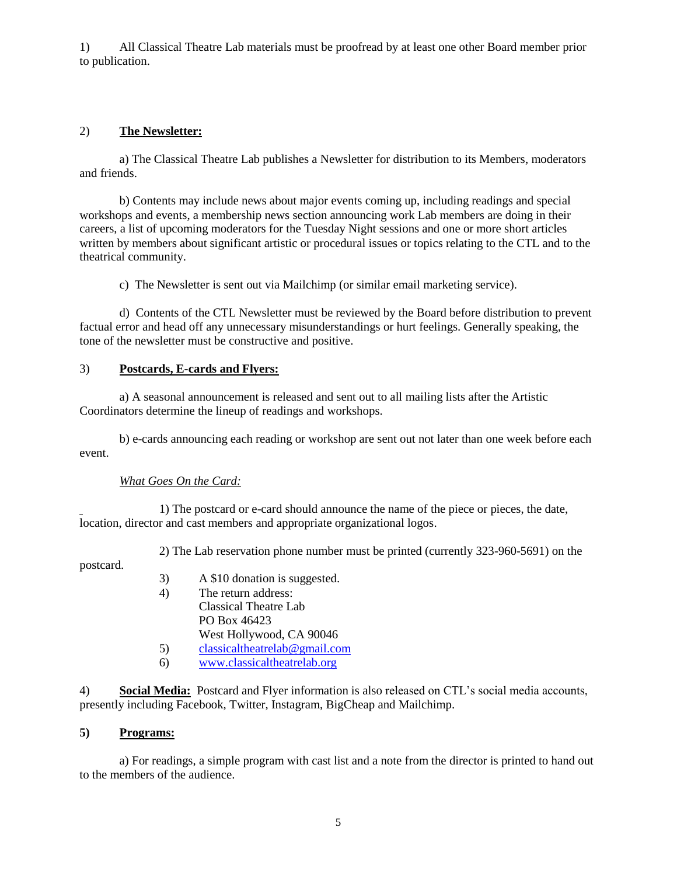1) All Classical Theatre Lab materials must be proofread by at least one other Board member prior to publication.

## 2) **The Newsletter:**

a) The Classical Theatre Lab publishes a Newsletter for distribution to its Members, moderators and friends.

b) Contents may include news about major events coming up, including readings and special workshops and events, a membership news section announcing work Lab members are doing in their careers, a list of upcoming moderators for the Tuesday Night sessions and one or more short articles written by members about significant artistic or procedural issues or topics relating to the CTL and to the theatrical community.

c) The Newsletter is sent out via Mailchimp (or similar email marketing service).

d) Contents of the CTL Newsletter must be reviewed by the Board before distribution to prevent factual error and head off any unnecessary misunderstandings or hurt feelings. Generally speaking, the tone of the newsletter must be constructive and positive.

## 3) **Postcards, E-cards and Flyers:**

a) A seasonal announcement is released and sent out to all mailing lists after the Artistic Coordinators determine the lineup of readings and workshops.

b) e-cards announcing each reading or workshop are sent out not later than one week before each event.

## *What Goes On the Card:*

1) The postcard or e-card should announce the name of the piece or pieces, the date, location, director and cast members and appropriate organizational logos.

2) The Lab reservation phone number must be printed (currently 323-960-5691) on the

postcard.

- 3) A \$10 donation is suggested.
- 4) The return address: Classical Theatre Lab PO Box 46423 West Hollywood, CA 90046
- 5) [classicaltheatrelab@gmail.com](mailto:classicaltheatrelab@gmail.com)
- 6) [www.classicaltheatrelab.org](http://www.classicaltheatrelab.org/)

4) **Social Media:** Postcard and Flyer information is also released on CTL's social media accounts, presently including Facebook, Twitter, Instagram, BigCheap and Mailchimp.

#### **5) Programs:**

a) For readings, a simple program with cast list and a note from the director is printed to hand out to the members of the audience.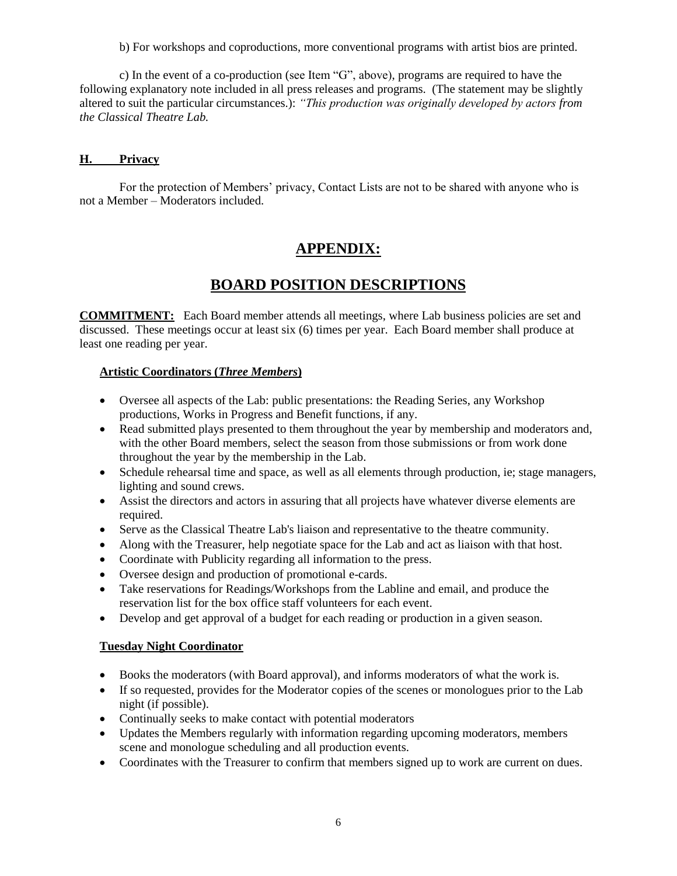b) For workshops and coproductions, more conventional programs with artist bios are printed.

c) In the event of a co-production (see Item "G", above), programs are required to have the following explanatory note included in all press releases and programs. (The statement may be slightly altered to suit the particular circumstances.): *"This production was originally developed by actors from the Classical Theatre Lab.*

#### **H. Privacy**

For the protection of Members' privacy, Contact Lists are not to be shared with anyone who is not a Member – Moderators included.

# **APPENDIX:**

# **BOARD POSITION DESCRIPTIONS**

**COMMITMENT:** Each Board member attends all meetings, where Lab business policies are set and discussed. These meetings occur at least six (6) times per year. Each Board member shall produce at least one reading per year.

#### **Artistic Coordinators (***Three Members***)**

- Oversee all aspects of the Lab: public presentations: the Reading Series, any Workshop productions, Works in Progress and Benefit functions, if any.
- Read submitted plays presented to them throughout the year by membership and moderators and, with the other Board members, select the season from those submissions or from work done throughout the year by the membership in the Lab.
- Schedule rehearsal time and space, as well as all elements through production, ie; stage managers, lighting and sound crews.
- Assist the directors and actors in assuring that all projects have whatever diverse elements are required.
- Serve as the Classical Theatre Lab's liaison and representative to the theatre community.
- Along with the Treasurer, help negotiate space for the Lab and act as liaison with that host.
- Coordinate with Publicity regarding all information to the press.
- Oversee design and production of promotional e-cards.
- Take reservations for Readings/Workshops from the Labline and email, and produce the reservation list for the box office staff volunteers for each event.
- Develop and get approval of a budget for each reading or production in a given season.

#### **Tuesday Night Coordinator**

- Books the moderators (with Board approval), and informs moderators of what the work is.
- If so requested, provides for the Moderator copies of the scenes or monologues prior to the Lab night (if possible).
- Continually seeks to make contact with potential moderators
- Updates the Members regularly with information regarding upcoming moderators, members scene and monologue scheduling and all production events.
- Coordinates with the Treasurer to confirm that members signed up to work are current on dues.